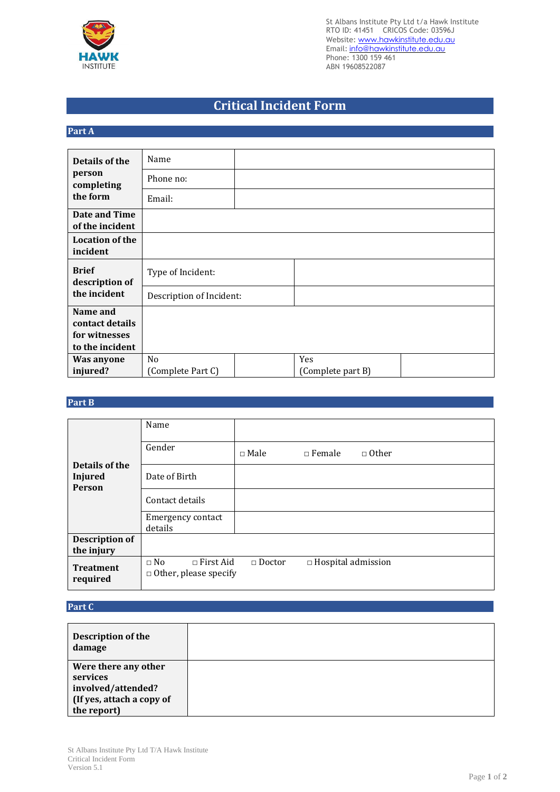

St Albans Institute Pty Ltd t/a Hawk Institute RTO ID: 41451 CRICOS Code: 03596J Website: www.hawkinstitute.edu.au Email: [info@hawkinstitute.edu.au](mailto:info@hawkinstitute.edu.au) Phone: 1300 159 461 ABN 19608522087

## **Critical Incident Form**

## **Part A**

| Details of the                   | Name                     |  |                   |  |  |  |
|----------------------------------|--------------------------|--|-------------------|--|--|--|
| person<br>completing<br>the form | Phone no:                |  |                   |  |  |  |
|                                  | Email:                   |  |                   |  |  |  |
| Date and Time                    |                          |  |                   |  |  |  |
| of the incident                  |                          |  |                   |  |  |  |
| <b>Location of the</b>           |                          |  |                   |  |  |  |
| incident                         |                          |  |                   |  |  |  |
| <b>Brief</b><br>description of   | Type of Incident:        |  |                   |  |  |  |
| the incident                     | Description of Incident: |  |                   |  |  |  |
| Name and                         |                          |  |                   |  |  |  |
| contact details                  |                          |  |                   |  |  |  |
| for witnesses                    |                          |  |                   |  |  |  |
| to the incident                  |                          |  |                   |  |  |  |
| Was anyone                       | N <sub>o</sub>           |  | Yes               |  |  |  |
| injured?                         | (Complete Part C)        |  | (Complete part B) |  |  |  |

## **Part B**

| Details of the<br><b>Injured</b><br><b>Person</b> | Name                                                          |               |                           |              |
|---------------------------------------------------|---------------------------------------------------------------|---------------|---------------------------|--------------|
|                                                   | Gender                                                        | $\Box$ Male   | $\Box$ Female             | $\Box$ Other |
|                                                   | Date of Birth                                                 |               |                           |              |
|                                                   | Contact details                                               |               |                           |              |
|                                                   | <b>Emergency contact</b><br>details                           |               |                           |              |
| <b>Description of</b><br>the injury               |                                                               |               |                           |              |
| <b>Treatment</b><br>required                      | $\Box$ First Aid<br>$\Box$ No<br>$\Box$ Other, please specify | $\Box$ Doctor | $\Box$ Hospital admission |              |

## **Part C**

| Description of the<br>damage |  |
|------------------------------|--|
| Were there any other         |  |
| services                     |  |
| involved/attended?           |  |
| (If yes, attach a copy of    |  |
| the report)                  |  |